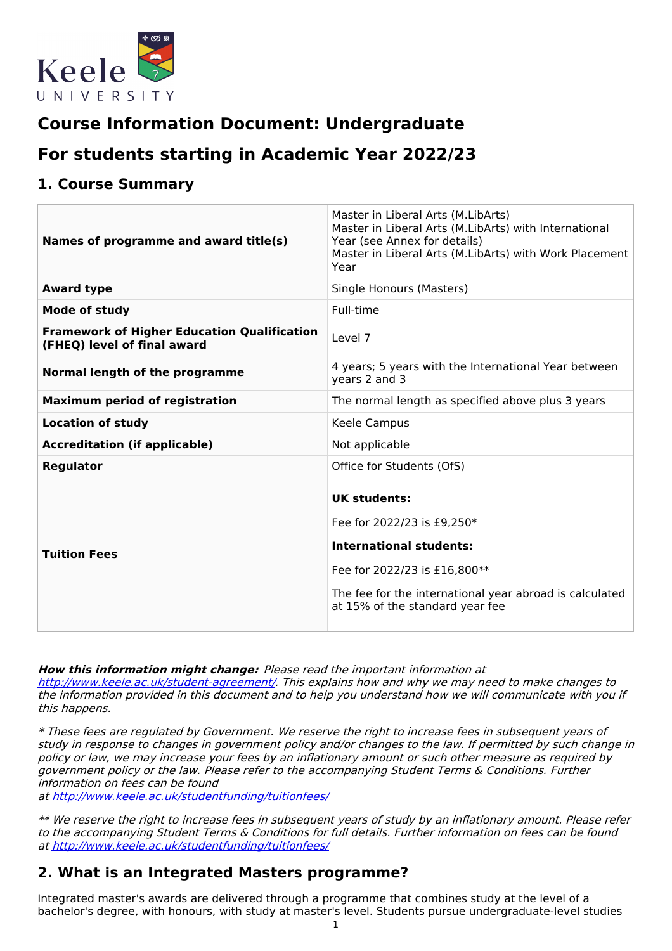

# **Course Information Document: Undergraduate**

# **For students starting in Academic Year 2022/23**

## **1. Course Summary**

| Names of programme and award title(s)                                             | Master in Liberal Arts (M.LibArts)<br>Master in Liberal Arts (M.LibArts) with International<br>Year (see Annex for details)<br>Master in Liberal Arts (M.LibArts) with Work Placement<br>Year                     |
|-----------------------------------------------------------------------------------|-------------------------------------------------------------------------------------------------------------------------------------------------------------------------------------------------------------------|
| <b>Award type</b>                                                                 | Single Honours (Masters)                                                                                                                                                                                          |
| <b>Mode of study</b>                                                              | Full-time                                                                                                                                                                                                         |
| <b>Framework of Higher Education Qualification</b><br>(FHEQ) level of final award | Level 7                                                                                                                                                                                                           |
| Normal length of the programme                                                    | 4 years; 5 years with the International Year between<br>years 2 and 3                                                                                                                                             |
| <b>Maximum period of registration</b>                                             | The normal length as specified above plus 3 years                                                                                                                                                                 |
| <b>Location of study</b>                                                          | Keele Campus                                                                                                                                                                                                      |
| <b>Accreditation (if applicable)</b>                                              | Not applicable                                                                                                                                                                                                    |
| <b>Regulator</b>                                                                  | Office for Students (OfS)                                                                                                                                                                                         |
| <b>Tuition Fees</b>                                                               | <b>UK students:</b><br>Fee for 2022/23 is £9,250*<br><b>International students:</b><br>Fee for 2022/23 is £16,800**<br>The fee for the international year abroad is calculated<br>at 15% of the standard year fee |

**How this information might change:** Please read the important information at

<http://www.keele.ac.uk/student-agreement/>. This explains how and why we may need to make changes to the information provided in this document and to help you understand how we will communicate with you if this happens.

\* These fees are regulated by Government. We reserve the right to increase fees in subsequent years of study in response to changes in government policy and/or changes to the law. If permitted by such change in policy or law, we may increase your fees by an inflationary amount or such other measure as required by government policy or the law. Please refer to the accompanying Student Terms & Conditions. Further information on fees can be found

at <http://www.keele.ac.uk/studentfunding/tuitionfees/>

\*\* We reserve the right to increase fees in subsequent years of study by an inflationary amount. Please refer to the accompanying Student Terms & Conditions for full details. Further information on fees can be found at <http://www.keele.ac.uk/studentfunding/tuitionfees/>

# **2. What is an Integrated Masters programme?**

Integrated master's awards are delivered through a programme that combines study at the level of a bachelor's degree, with honours, with study at master's level. Students pursue undergraduate-level studies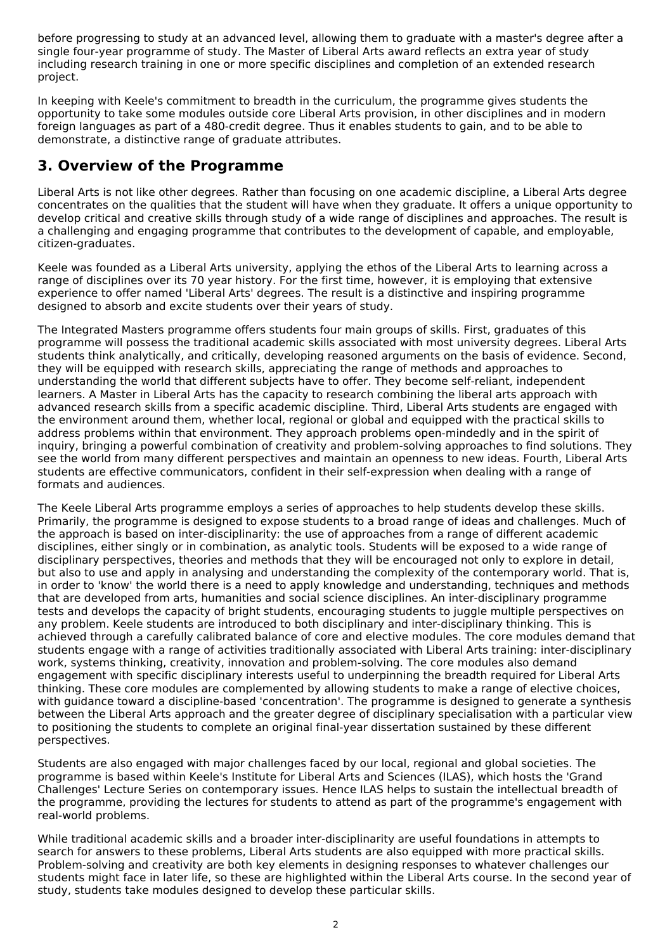before progressing to study at an advanced level, allowing them to graduate with a master's degree after a single four-year programme of study. The Master of Liberal Arts award reflects an extra year of study including research training in one or more specific disciplines and completion of an extended research project.

In keeping with Keele's commitment to breadth in the curriculum, the programme gives students the opportunity to take some modules outside core Liberal Arts provision, in other disciplines and in modern foreign languages as part of a 480-credit degree. Thus it enables students to gain, and to be able to demonstrate, a distinctive range of graduate attributes.

# **3. Overview of the Programme**

Liberal Arts is not like other degrees. Rather than focusing on one academic discipline, a Liberal Arts degree concentrates on the qualities that the student will have when they graduate. It offers a unique opportunity to develop critical and creative skills through study of a wide range of disciplines and approaches. The result is a challenging and engaging programme that contributes to the development of capable, and employable, citizen-graduates.

Keele was founded as a Liberal Arts university, applying the ethos of the Liberal Arts to learning across a range of disciplines over its 70 year history. For the first time, however, it is employing that extensive experience to offer named 'Liberal Arts' degrees. The result is a distinctive and inspiring programme designed to absorb and excite students over their years of study.

The Integrated Masters programme offers students four main groups of skills. First, graduates of this programme will possess the traditional academic skills associated with most university degrees. Liberal Arts students think analytically, and critically, developing reasoned arguments on the basis of evidence. Second, they will be equipped with research skills, appreciating the range of methods and approaches to understanding the world that different subjects have to offer. They become self-reliant, independent learners. A Master in Liberal Arts has the capacity to research combining the liberal arts approach with advanced research skills from a specific academic discipline. Third, Liberal Arts students are engaged with the environment around them, whether local, regional or global and equipped with the practical skills to address problems within that environment. They approach problems open-mindedly and in the spirit of inquiry, bringing a powerful combination of creativity and problem-solving approaches to find solutions. They see the world from many different perspectives and maintain an openness to new ideas. Fourth, Liberal Arts students are effective communicators, confident in their self-expression when dealing with a range of formats and audiences.

The Keele Liberal Arts programme employs a series of approaches to help students develop these skills. Primarily, the programme is designed to expose students to a broad range of ideas and challenges. Much of the approach is based on inter-disciplinarity: the use of approaches from a range of different academic disciplines, either singly or in combination, as analytic tools. Students will be exposed to a wide range of disciplinary perspectives, theories and methods that they will be encouraged not only to explore in detail, but also to use and apply in analysing and understanding the complexity of the contemporary world. That is, in order to 'know' the world there is a need to apply knowledge and understanding, techniques and methods that are developed from arts, humanities and social science disciplines. An inter-disciplinary programme tests and develops the capacity of bright students, encouraging students to juggle multiple perspectives on any problem. Keele students are introduced to both disciplinary and inter-disciplinary thinking. This is achieved through a carefully calibrated balance of core and elective modules. The core modules demand that students engage with a range of activities traditionally associated with Liberal Arts training: inter-disciplinary work, systems thinking, creativity, innovation and problem-solving. The core modules also demand engagement with specific disciplinary interests useful to underpinning the breadth required for Liberal Arts thinking. These core modules are complemented by allowing students to make a range of elective choices, with guidance toward a discipline-based 'concentration'. The programme is designed to generate a synthesis between the Liberal Arts approach and the greater degree of disciplinary specialisation with a particular view to positioning the students to complete an original final-year dissertation sustained by these different perspectives.

Students are also engaged with major challenges faced by our local, regional and global societies. The programme is based within Keele's Institute for Liberal Arts and Sciences (ILAS), which hosts the 'Grand Challenges' Lecture Series on contemporary issues. Hence ILAS helps to sustain the intellectual breadth of the programme, providing the lectures for students to attend as part of the programme's engagement with real-world problems.

While traditional academic skills and a broader inter-disciplinarity are useful foundations in attempts to search for answers to these problems, Liberal Arts students are also equipped with more practical skills. Problem-solving and creativity are both key elements in designing responses to whatever challenges our students might face in later life, so these are highlighted within the Liberal Arts course. In the second year of study, students take modules designed to develop these particular skills.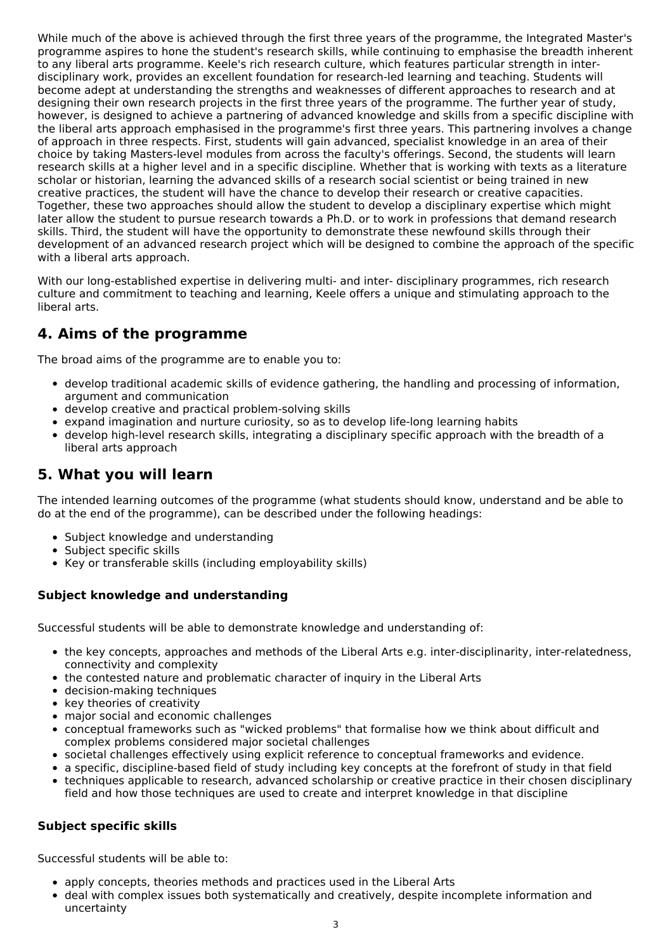While much of the above is achieved through the first three years of the programme, the Integrated Master's programme aspires to hone the student's research skills, while continuing to emphasise the breadth inherent to any liberal arts programme. Keele's rich research culture, which features particular strength in interdisciplinary work, provides an excellent foundation for research-led learning and teaching. Students will become adept at understanding the strengths and weaknesses of different approaches to research and at designing their own research projects in the first three years of the programme. The further year of study, however, is designed to achieve a partnering of advanced knowledge and skills from a specific discipline with the liberal arts approach emphasised in the programme's first three years. This partnering involves a change of approach in three respects. First, students will gain advanced, specialist knowledge in an area of their choice by taking Masters-level modules from across the faculty's offerings. Second, the students will learn research skills at a higher level and in a specific discipline. Whether that is working with texts as a literature scholar or historian, learning the advanced skills of a research social scientist or being trained in new creative practices, the student will have the chance to develop their research or creative capacities. Together, these two approaches should allow the student to develop a disciplinary expertise which might later allow the student to pursue research towards a Ph.D. or to work in professions that demand research skills. Third, the student will have the opportunity to demonstrate these newfound skills through their development of an advanced research project which will be designed to combine the approach of the specific with a liberal arts approach.

With our long-established expertise in delivering multi- and inter- disciplinary programmes, rich research culture and commitment to teaching and learning, Keele offers a unique and stimulating approach to the liberal arts.

# **4. Aims of the programme**

The broad aims of the programme are to enable you to:

- develop traditional academic skills of evidence gathering, the handling and processing of information, argument and communication
- develop creative and practical problem-solving skills
- expand imagination and nurture curiosity, so as to develop life-long learning habits
- develop high-level research skills, integrating a disciplinary specific approach with the breadth of a liberal arts approach

# **5. What you will learn**

The intended learning outcomes of the programme (what students should know, understand and be able to do at the end of the programme), can be described under the following headings:

- Subject knowledge and understanding
- Subject specific skills
- Key or transferable skills (including employability skills)

### **Subject knowledge and understanding**

Successful students will be able to demonstrate knowledge and understanding of:

- the key concepts, approaches and methods of the Liberal Arts e.g. inter-disciplinarity, inter-relatedness, connectivity and complexity
- the contested nature and problematic character of inquiry in the Liberal Arts
- decision-making techniques
- key theories of creativity
- major social and economic challenges
- conceptual frameworks such as "wicked problems" that formalise how we think about difficult and complex problems considered major societal challenges
- societal challenges effectively using explicit reference to conceptual frameworks and evidence.
- a specific, discipline-based field of study including key concepts at the forefront of study in that field
- techniques applicable to research, advanced scholarship or creative practice in their chosen disciplinary field and how those techniques are used to create and interpret knowledge in that discipline

### **Subject specific skills**

Successful students will be able to:

- apply concepts, theories methods and practices used in the Liberal Arts
- deal with complex issues both systematically and creatively, despite incomplete information and uncertainty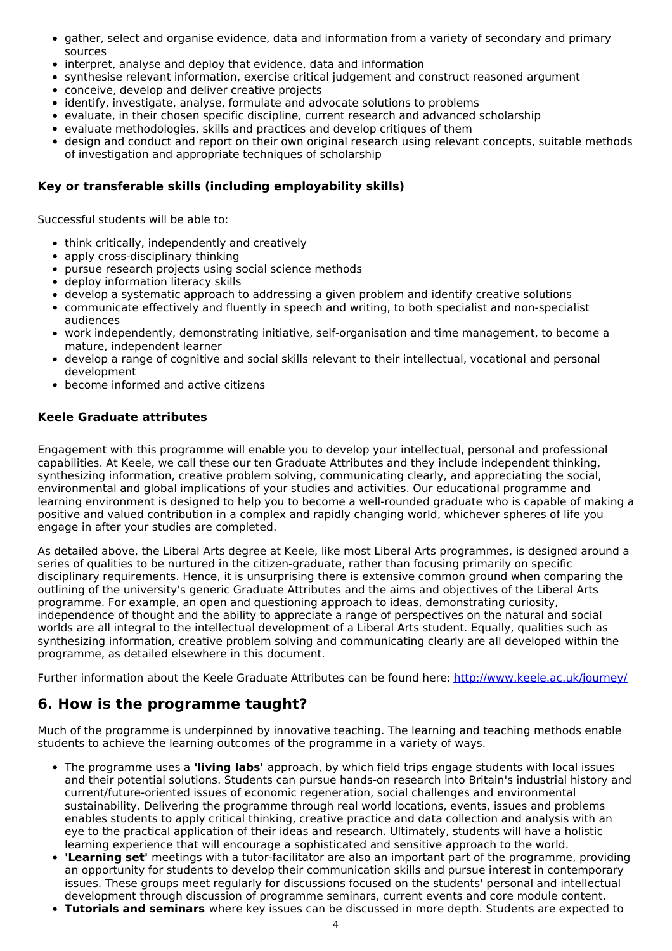- gather, select and organise evidence, data and information from a variety of secondary and primary sources
- interpret, analyse and deploy that evidence, data and information
- synthesise relevant information, exercise critical judgement and construct reasoned argument
- conceive, develop and deliver creative projects
- identify, investigate, analyse, formulate and advocate solutions to problems
- evaluate, in their chosen specific discipline, current research and advanced scholarship
- evaluate methodologies, skills and practices and develop critiques of them
- design and conduct and report on their own original research using relevant concepts, suitable methods of investigation and appropriate techniques of scholarship

### **Key or transferable skills (including employability skills)**

Successful students will be able to:

- think critically, independently and creatively
- apply cross-disciplinary thinking
- pursue research projects using social science methods
- deploy information literacy skills
- develop a systematic approach to addressing a given problem and identify creative solutions
- communicate effectively and fluently in speech and writing, to both specialist and non-specialist audiences
- work independently, demonstrating initiative, self-organisation and time management, to become a mature, independent learner
- develop a range of cognitive and social skills relevant to their intellectual, vocational and personal development
- become informed and active citizens

### **Keele Graduate attributes**

Engagement with this programme will enable you to develop your intellectual, personal and professional capabilities. At Keele, we call these our ten Graduate Attributes and they include independent thinking, synthesizing information, creative problem solving, communicating clearly, and appreciating the social, environmental and global implications of your studies and activities. Our educational programme and learning environment is designed to help you to become a well-rounded graduate who is capable of making a positive and valued contribution in a complex and rapidly changing world, whichever spheres of life you engage in after your studies are completed.

As detailed above, the Liberal Arts degree at Keele, like most Liberal Arts programmes, is designed around a series of qualities to be nurtured in the citizen-graduate, rather than focusing primarily on specific disciplinary requirements. Hence, it is unsurprising there is extensive common ground when comparing the outlining of the university's generic Graduate Attributes and the aims and objectives of the Liberal Arts programme. For example, an open and questioning approach to ideas, demonstrating curiosity, independence of thought and the ability to appreciate a range of perspectives on the natural and social worlds are all integral to the intellectual development of a Liberal Arts student. Equally, qualities such as synthesizing information, creative problem solving and communicating clearly are all developed within the programme, as detailed elsewhere in this document.

Further information about the Keele Graduate Attributes can be found here: <http://www.keele.ac.uk/journey/>

# **6. How is the programme taught?**

Much of the programme is underpinned by innovative teaching. The learning and teaching methods enable students to achieve the learning outcomes of the programme in a variety of ways.

- The programme uses a **'living labs'** approach, by which field trips engage students with local issues and their potential solutions. Students can pursue hands-on research into Britain's industrial history and current/future-oriented issues of economic regeneration, social challenges and environmental sustainability. Delivering the programme through real world locations, events, issues and problems enables students to apply critical thinking, creative practice and data collection and analysis with an eye to the practical application of their ideas and research. Ultimately, students will have a holistic learning experience that will encourage a sophisticated and sensitive approach to the world.
- **'Learning set'** meetings with a tutor-facilitator are also an important part of the programme, providing an opportunity for students to develop their communication skills and pursue interest in contemporary issues. These groups meet regularly for discussions focused on the students' personal and intellectual development through discussion of programme seminars, current events and core module content.
- **Tutorials and seminars** where key issues can be discussed in more depth. Students are expected to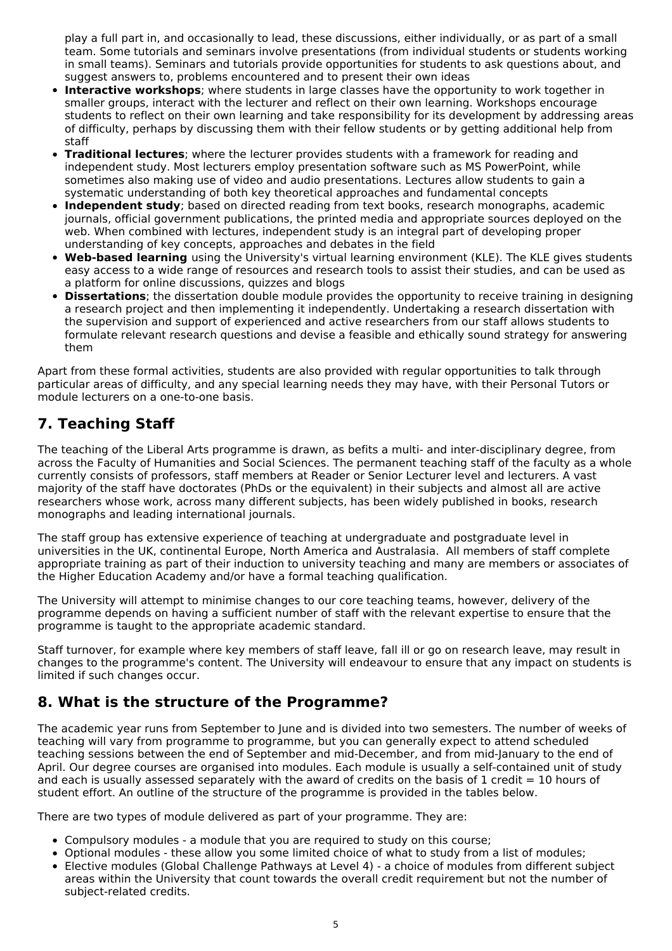play a full part in, and occasionally to lead, these discussions, either individually, or as part of a small team. Some tutorials and seminars involve presentations (from individual students or students working in small teams). Seminars and tutorials provide opportunities for students to ask questions about, and suggest answers to, problems encountered and to present their own ideas

- **Interactive workshops**; where students in large classes have the opportunity to work together in smaller groups, interact with the lecturer and reflect on their own learning. Workshops encourage students to reflect on their own learning and take responsibility for its development by addressing areas of difficulty, perhaps by discussing them with their fellow students or by getting additional help from staff
- **Traditional lectures**; where the lecturer provides students with a framework for reading and independent study. Most lecturers employ presentation software such as MS PowerPoint, while sometimes also making use of video and audio presentations. Lectures allow students to gain a systematic understanding of both key theoretical approaches and fundamental concepts
- **Independent study**; based on directed reading from text books, research monographs, academic journals, official government publications, the printed media and appropriate sources deployed on the web. When combined with lectures, independent study is an integral part of developing proper understanding of key concepts, approaches and debates in the field
- **Web-based learning** using the University's virtual learning environment (KLE). The KLE gives students easy access to a wide range of resources and research tools to assist their studies, and can be used as a platform for online discussions, quizzes and blogs
- **Dissertations**; the dissertation double module provides the opportunity to receive training in designing a research project and then implementing it independently. Undertaking a research dissertation with the supervision and support of experienced and active researchers from our staff allows students to formulate relevant research questions and devise a feasible and ethically sound strategy for answering them

Apart from these formal activities, students are also provided with regular opportunities to talk through particular areas of difficulty, and any special learning needs they may have, with their Personal Tutors or module lecturers on a one-to-one basis.

# **7. Teaching Staff**

The teaching of the Liberal Arts programme is drawn, as befits a multi- and inter-disciplinary degree, from across the Faculty of Humanities and Social Sciences. The permanent teaching staff of the faculty as a whole currently consists of professors, staff members at Reader or Senior Lecturer level and lecturers. A vast majority of the staff have doctorates (PhDs or the equivalent) in their subjects and almost all are active researchers whose work, across many different subjects, has been widely published in books, research monographs and leading international journals.

The staff group has extensive experience of teaching at undergraduate and postgraduate level in universities in the UK, continental Europe, North America and Australasia. All members of staff complete appropriate training as part of their induction to university teaching and many are members or associates of the Higher Education Academy and/or have a formal teaching qualification.

The University will attempt to minimise changes to our core teaching teams, however, delivery of the programme depends on having a sufficient number of staff with the relevant expertise to ensure that the programme is taught to the appropriate academic standard.

Staff turnover, for example where key members of staff leave, fall ill or go on research leave, may result in changes to the programme's content. The University will endeavour to ensure that any impact on students is limited if such changes occur.

# **8. What is the structure of the Programme?**

The academic year runs from September to June and is divided into two semesters. The number of weeks of teaching will vary from programme to programme, but you can generally expect to attend scheduled teaching sessions between the end of September and mid-December, and from mid-January to the end of April. Our degree courses are organised into modules. Each module is usually a self-contained unit of study and each is usually assessed separately with the award of credits on the basis of 1 credit  $= 10$  hours of student effort. An outline of the structure of the programme is provided in the tables below.

There are two types of module delivered as part of your programme. They are:

- Compulsory modules a module that you are required to study on this course;
- Optional modules these allow you some limited choice of what to study from a list of modules;
- Elective modules (Global Challenge Pathways at Level 4) a choice of modules from different subject areas within the University that count towards the overall credit requirement but not the number of subject-related credits.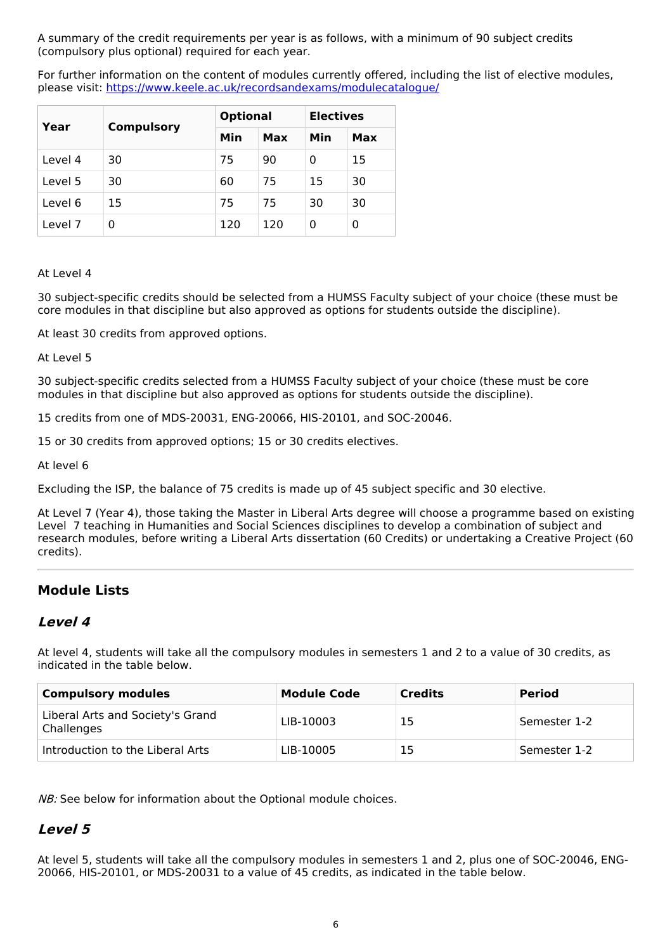A summary of the credit requirements per year is as follows, with a minimum of 90 subject credits (compulsory plus optional) required for each year.

For further information on the content of modules currently offered, including the list of elective modules, please visit: <https://www.keele.ac.uk/recordsandexams/modulecatalogue/>

| Year    | <b>Compulsory</b> | <b>Optional</b> |     | <b>Electives</b> |     |
|---------|-------------------|-----------------|-----|------------------|-----|
|         |                   | Min             | Max | Min              | Max |
| Level 4 | 30                | 75              | 90  | 0                | 15  |
| Level 5 | 30                | 60              | 75  | 15               | 30  |
| Level 6 | 15                | 75              | 75  | 30               | 30  |
| Level 7 | 0                 | 120             | 120 | 0                | 0   |

#### At Level 4

30 subject-specific credits should be selected from a HUMSS Faculty subject of your choice (these must be core modules in that discipline but also approved as options for students outside the discipline).

At least 30 credits from approved options.

At Level 5

30 subject-specific credits selected from a HUMSS Faculty subject of your choice (these must be core modules in that discipline but also approved as options for students outside the discipline).

15 credits from one of MDS-20031, ENG-20066, HIS-20101, and SOC-20046.

15 or 30 credits from approved options; 15 or 30 credits electives.

At level 6

Excluding the ISP, the balance of 75 credits is made up of 45 subject specific and 30 elective.

At Level 7 (Year 4), those taking the Master in Liberal Arts degree will choose a programme based on existing Level 7 teaching in Humanities and Social Sciences disciplines to develop a combination of subject and research modules, before writing a Liberal Arts dissertation (60 Credits) or undertaking a Creative Project (60 credits).

### **Module Lists**

### **Level 4**

At level 4, students will take all the compulsory modules in semesters 1 and 2 to a value of 30 credits, as indicated in the table below.

| Compulsory modules                             | <b>Module Code</b> | <b>Credits</b> | <b>Period</b> |
|------------------------------------------------|--------------------|----------------|---------------|
| Liberal Arts and Society's Grand<br>Challenges | LIB-10003          | 15             | Semester 1-2  |
| Introduction to the Liberal Arts               | LIB-10005          | 15             | Semester 1-2  |

NB: See below for information about the Optional module choices.

### **Level 5**

At level 5, students will take all the compulsory modules in semesters 1 and 2, plus one of SOC-20046, ENG-20066, HIS-20101, or MDS-20031 to a value of 45 credits, as indicated in the table below.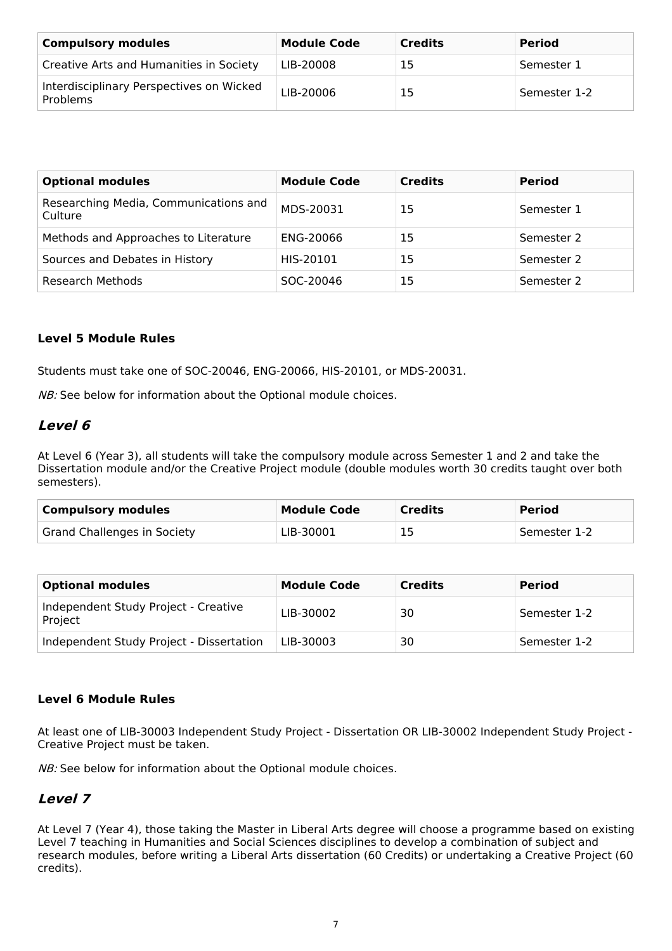| <b>Compulsory modules</b>                            | <b>Module Code</b> | <b>Credits</b> | <b>Period</b> |
|------------------------------------------------------|--------------------|----------------|---------------|
| Creative Arts and Humanities in Society              | LIB-20008          | 15             | Semester 1    |
| Interdisciplinary Perspectives on Wicked<br>Problems | LIB-20006          | 15             | Semester 1-2  |

| <b>Optional modules</b>                          | <b>Module Code</b> | <b>Credits</b> | <b>Period</b> |
|--------------------------------------------------|--------------------|----------------|---------------|
| Researching Media, Communications and<br>Culture | MDS-20031          | 15             | Semester 1    |
| Methods and Approaches to Literature             | ENG-20066          | 15             | Semester 2    |
| Sources and Debates in History                   | HIS-20101          | 15             | Semester 2    |
| Research Methods                                 | SOC-20046          | 15             | Semester 2    |

### **Level 5 Module Rules**

Students must take one of SOC-20046, ENG-20066, HIS-20101, or MDS-20031.

NB: See below for information about the Optional module choices.

### **Level 6**

At Level 6 (Year 3), all students will take the compulsory module across Semester 1 and 2 and take the Dissertation module and/or the Creative Project module (double modules worth 30 credits taught over both semesters).

| <b>Compulsory modules</b>   | <b>Module Code</b> | <b>Credits</b> | <b>Period</b> |
|-----------------------------|--------------------|----------------|---------------|
| Grand Challenges in Society | LIB-30001          | 15             | Semester 1-2  |

| <b>Optional modules</b>                         | <b>Module Code</b> | <b>Credits</b> | <b>Period</b> |
|-------------------------------------------------|--------------------|----------------|---------------|
| Independent Study Project - Creative<br>Project | LIB-30002          | 30             | Semester 1-2  |
| Independent Study Project - Dissertation        | LIB-30003          | 30             | Semester 1-2  |

### **Level 6 Module Rules**

At least one of LIB-30003 Independent Study Project - Dissertation OR LIB-30002 Independent Study Project - Creative Project must be taken.

NB: See below for information about the Optional module choices.

### **Level 7**

At Level 7 (Year 4), those taking the Master in Liberal Arts degree will choose a programme based on existing Level 7 teaching in Humanities and Social Sciences disciplines to develop a combination of subject and research modules, before writing a Liberal Arts dissertation (60 Credits) or undertaking a Creative Project (60 credits).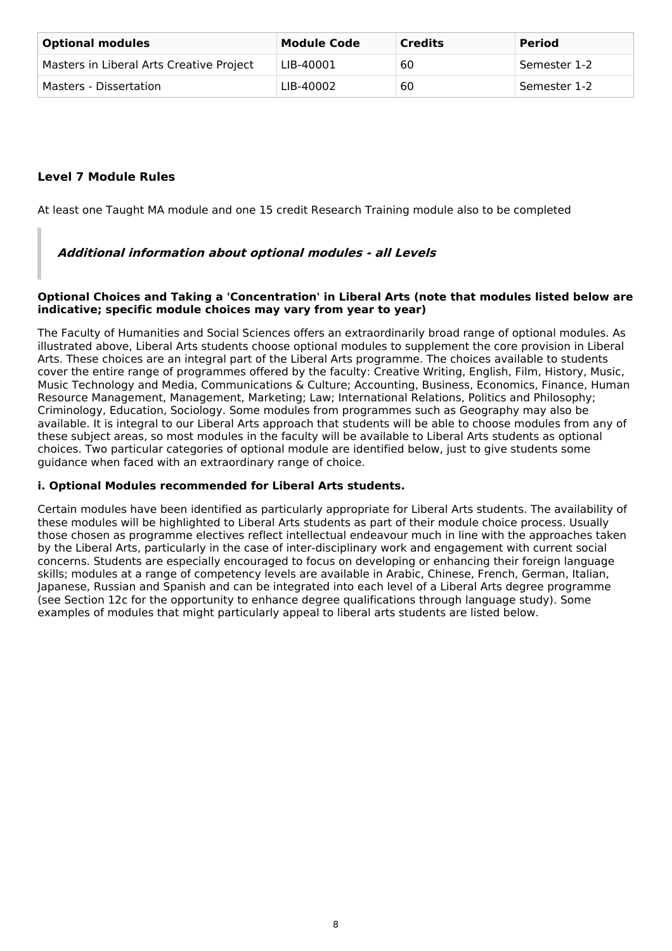| <b>Optional modules</b>                  | <b>Module Code</b> | <b>Credits</b> | <b>Period</b> |
|------------------------------------------|--------------------|----------------|---------------|
| Masters in Liberal Arts Creative Project | LIB-40001          | 60             | Semester 1-2  |
| Masters - Dissertation                   | LIB-40002          | 60             | Semester 1-2  |

### **Level 7 Module Rules**

At least one Taught MA module and one 15 credit Research Training module also to be completed

### **Additional information about optional modules - all Levels**

#### **Optional Choices and Taking a 'Concentration' in Liberal Arts (note that modules listed below are indicative; specific module choices may vary from year to year)**

The Faculty of Humanities and Social Sciences offers an extraordinarily broad range of optional modules. As illustrated above, Liberal Arts students choose optional modules to supplement the core provision in Liberal Arts. These choices are an integral part of the Liberal Arts programme. The choices available to students cover the entire range of programmes offered by the faculty: Creative Writing, English, Film, History, Music, Music Technology and Media, Communications & Culture; Accounting, Business, Economics, Finance, Human Resource Management, Management, Marketing; Law; International Relations, Politics and Philosophy; Criminology, Education, Sociology. Some modules from programmes such as Geography may also be available. It is integral to our Liberal Arts approach that students will be able to choose modules from any of these subject areas, so most modules in the faculty will be available to Liberal Arts students as optional choices. Two particular categories of optional module are identified below, just to give students some guidance when faced with an extraordinary range of choice.

### **i. Optional Modules recommended for Liberal Arts students.**

Certain modules have been identified as particularly appropriate for Liberal Arts students. The availability of these modules will be highlighted to Liberal Arts students as part of their module choice process. Usually those chosen as programme electives reflect intellectual endeavour much in line with the approaches taken by the Liberal Arts, particularly in the case of inter-disciplinary work and engagement with current social concerns. Students are especially encouraged to focus on developing or enhancing their foreign language skills; modules at a range of competency levels are available in Arabic, Chinese, French, German, Italian, Japanese, Russian and Spanish and can be integrated into each level of a Liberal Arts degree programme (see Section 12c for the opportunity to enhance degree qualifications through language study). Some examples of modules that might particularly appeal to liberal arts students are listed below.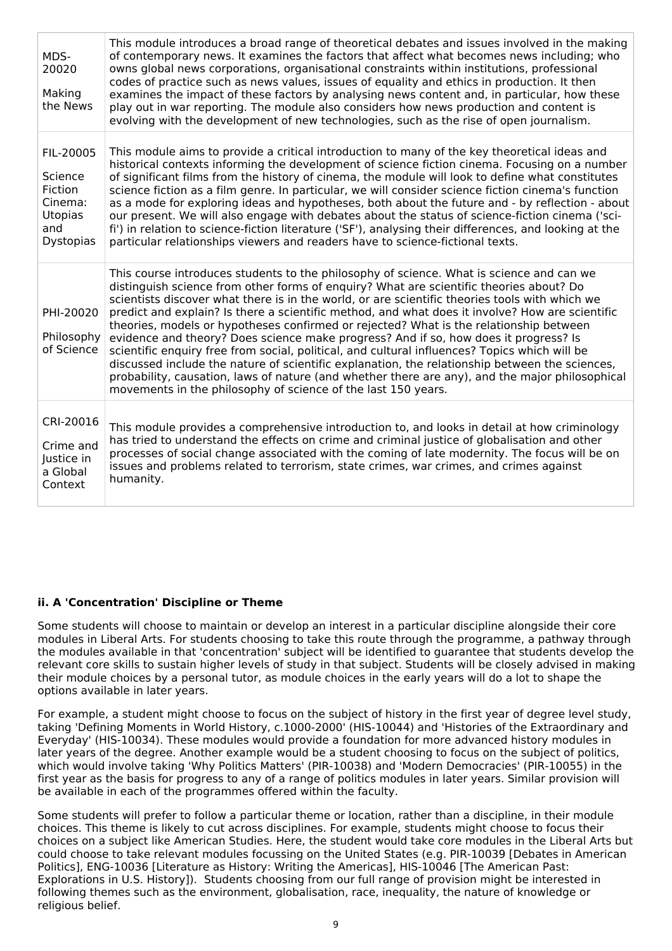| MDS-<br>20020<br>Making<br>the News                                              | This module introduces a broad range of theoretical debates and issues involved in the making<br>of contemporary news. It examines the factors that affect what becomes news including; who<br>owns global news corporations, organisational constraints within institutions, professional<br>codes of practice such as news values, issues of equality and ethics in production. It then<br>examines the impact of these factors by analysing news content and, in particular, how these<br>play out in war reporting. The module also considers how news production and content is<br>evolving with the development of new technologies, such as the rise of open journalism.                                                                                                                                                                                                                                                                   |
|----------------------------------------------------------------------------------|---------------------------------------------------------------------------------------------------------------------------------------------------------------------------------------------------------------------------------------------------------------------------------------------------------------------------------------------------------------------------------------------------------------------------------------------------------------------------------------------------------------------------------------------------------------------------------------------------------------------------------------------------------------------------------------------------------------------------------------------------------------------------------------------------------------------------------------------------------------------------------------------------------------------------------------------------|
| FIL-20005<br>Science<br>Fiction<br>Cinema:<br>Utopias<br>and<br><b>Dystopias</b> | This module aims to provide a critical introduction to many of the key theoretical ideas and<br>historical contexts informing the development of science fiction cinema. Focusing on a number<br>of significant films from the history of cinema, the module will look to define what constitutes<br>science fiction as a film genre. In particular, we will consider science fiction cinema's function<br>as a mode for exploring ideas and hypotheses, both about the future and - by reflection - about<br>our present. We will also engage with debates about the status of science-fiction cinema ('sci-<br>fi') in relation to science-fiction literature ('SF'), analysing their differences, and looking at the<br>particular relationships viewers and readers have to science-fictional texts.                                                                                                                                          |
| PHI-20020<br>Philosophy<br>of Science                                            | This course introduces students to the philosophy of science. What is science and can we<br>distinguish science from other forms of enguiry? What are scientific theories about? Do<br>scientists discover what there is in the world, or are scientific theories tools with which we<br>predict and explain? Is there a scientific method, and what does it involve? How are scientific<br>theories, models or hypotheses confirmed or rejected? What is the relationship between<br>evidence and theory? Does science make progress? And if so, how does it progress? Is<br>scientific enguiry free from social, political, and cultural influences? Topics which will be<br>discussed include the nature of scientific explanation, the relationship between the sciences,<br>probability, causation, laws of nature (and whether there are any), and the major philosophical<br>movements in the philosophy of science of the last 150 years. |
| CRI-20016<br>Crime and<br>Justice in<br>a Global<br>Context                      | This module provides a comprehensive introduction to, and looks in detail at how criminology<br>has tried to understand the effects on crime and criminal justice of globalisation and other<br>processes of social change associated with the coming of late modernity. The focus will be on<br>issues and problems related to terrorism, state crimes, war crimes, and crimes against<br>humanity.                                                                                                                                                                                                                                                                                                                                                                                                                                                                                                                                              |

### **ii. A 'Concentration' Discipline or Theme**

Some students will choose to maintain or develop an interest in a particular discipline alongside their core modules in Liberal Arts. For students choosing to take this route through the programme, a pathway through the modules available in that 'concentration' subject will be identified to guarantee that students develop the relevant core skills to sustain higher levels of study in that subject. Students will be closely advised in making their module choices by a personal tutor, as module choices in the early years will do a lot to shape the options available in later years.

For example, a student might choose to focus on the subject of history in the first year of degree level study, taking 'Defining Moments in World History, c.1000-2000' (HIS-10044) and 'Histories of the Extraordinary and Everyday' (HIS-10034). These modules would provide a foundation for more advanced history modules in later years of the degree. Another example would be a student choosing to focus on the subject of politics, which would involve taking 'Why Politics Matters' (PIR-10038) and 'Modern Democracies' (PIR-10055) in the first year as the basis for progress to any of a range of politics modules in later years. Similar provision will be available in each of the programmes offered within the faculty.

Some students will prefer to follow a particular theme or location, rather than a discipline, in their module choices. This theme is likely to cut across disciplines. For example, students might choose to focus their choices on a subject like American Studies. Here, the student would take core modules in the Liberal Arts but could choose to take relevant modules focussing on the United States (e.g. PIR-10039 [Debates in American Politics], ENG-10036 [Literature as History: Writing the Americas], HIS-10046 [The American Past: Explorations in U.S. History]). Students choosing from our full range of provision might be interested in following themes such as the environment, globalisation, race, inequality, the nature of knowledge or religious belief.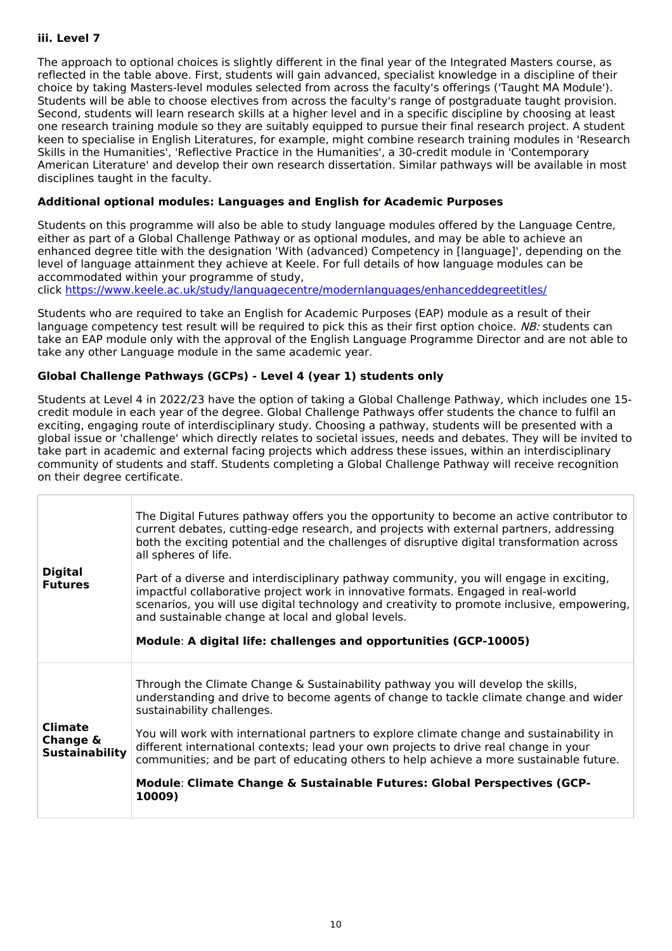### **iii. Level 7**

The approach to optional choices is slightly different in the final year of the Integrated Masters course, as reflected in the table above. First, students will gain advanced, specialist knowledge in a discipline of their choice by taking Masters-level modules selected from across the faculty's offerings ('Taught MA Module'). Students will be able to choose electives from across the faculty's range of postgraduate taught provision. Second, students will learn research skills at a higher level and in a specific discipline by choosing at least one research training module so they are suitably equipped to pursue their final research project. A student keen to specialise in English Literatures, for example, might combine research training modules in 'Research Skills in the Humanities', 'Reflective Practice in the Humanities', a 30-credit module in 'Contemporary American Literature' and develop their own research dissertation. Similar pathways will be available in most disciplines taught in the faculty.

### **Additional optional modules: Languages and English for Academic Purposes**

Students on this programme will also be able to study language modules offered by the Language Centre, either as part of a Global Challenge Pathway or as optional modules, and may be able to achieve an enhanced degree title with the designation 'With (advanced) Competency in [language]', depending on the level of language attainment they achieve at Keele. For full details of how language modules can be accommodated within your programme of study,

click <https://www.keele.ac.uk/study/languagecentre/modernlanguages/enhanceddegreetitles/>

Students who are required to take an English for Academic Purposes (EAP) module as a result of their language competency test result will be required to pick this as their first option choice. NB: students can take an EAP module only with the approval of the English Language Programme Director and are not able to take any other Language module in the same academic year.

### **Global Challenge Pathways (GCPs) - Level 4 (year 1) students only**

Students at Level 4 in 2022/23 have the option of taking a Global Challenge Pathway, which includes one 15 credit module in each year of the degree. Global Challenge Pathways offer students the chance to fulfil an exciting, engaging route of interdisciplinary study. Choosing a pathway, students will be presented with a global issue or 'challenge' which directly relates to societal issues, needs and debates. They will be invited to take part in academic and external facing projects which address these issues, within an interdisciplinary community of students and staff. Students completing a Global Challenge Pathway will receive recognition on their degree certificate.

| <b>Digital</b><br><b>Futures</b>                    | The Digital Futures pathway offers you the opportunity to become an active contributor to<br>current debates, cutting-edge research, and projects with external partners, addressing<br>both the exciting potential and the challenges of disruptive digital transformation across<br>all spheres of life.<br>Part of a diverse and interdisciplinary pathway community, you will engage in exciting,<br>impactful collaborative project work in innovative formats. Engaged in real-world<br>scenarios, you will use digital technology and creativity to promote inclusive, empowering,<br>and sustainable change at local and global levels.<br>Module: A digital life: challenges and opportunities (GCP-10005) |
|-----------------------------------------------------|---------------------------------------------------------------------------------------------------------------------------------------------------------------------------------------------------------------------------------------------------------------------------------------------------------------------------------------------------------------------------------------------------------------------------------------------------------------------------------------------------------------------------------------------------------------------------------------------------------------------------------------------------------------------------------------------------------------------|
| <b>Climate</b><br>Change &<br><b>Sustainability</b> | Through the Climate Change & Sustainability pathway you will develop the skills,<br>understanding and drive to become agents of change to tackle climate change and wider<br>sustainability challenges.<br>You will work with international partners to explore climate change and sustainability in<br>different international contexts; lead your own projects to drive real change in your<br>communities; and be part of educating others to help achieve a more sustainable future.<br>Module: Climate Change & Sustainable Futures: Global Perspectives (GCP-<br>10009)                                                                                                                                       |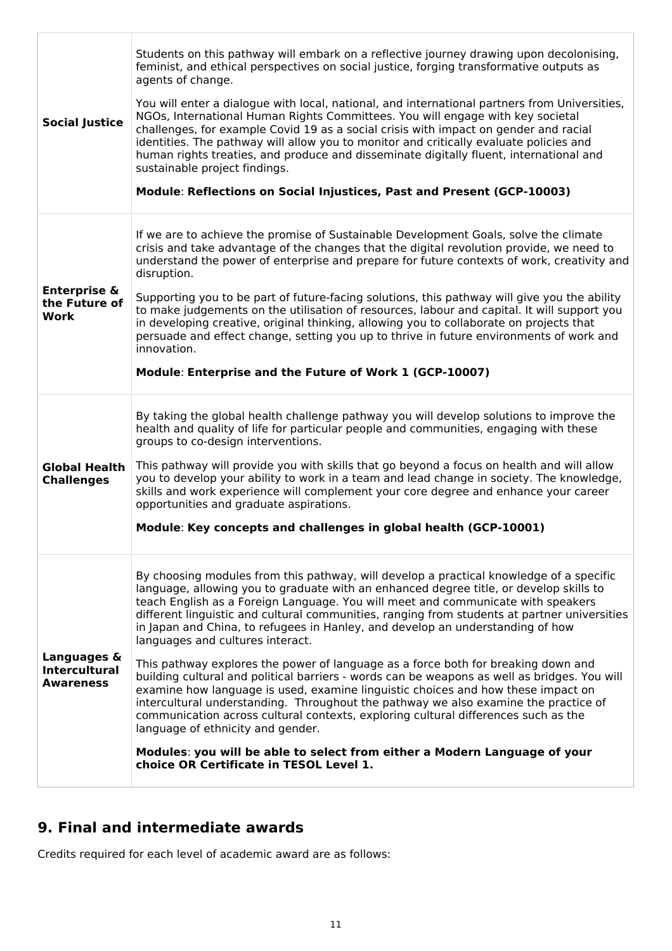| <b>Social Justice</b>                                   | Students on this pathway will embark on a reflective journey drawing upon decolonising,<br>feminist, and ethical perspectives on social justice, forging transformative outputs as<br>agents of change.<br>You will enter a dialogue with local, national, and international partners from Universities,<br>NGOs, International Human Rights Committees. You will engage with key societal<br>challenges, for example Covid 19 as a social crisis with impact on gender and racial<br>identities. The pathway will allow you to monitor and critically evaluate policies and<br>human rights treaties, and produce and disseminate digitally fluent, international and<br>sustainable project findings.<br>Module: Reflections on Social Injustices, Past and Present (GCP-10003)                                                                                                                                                                                                                                                                                                                              |
|---------------------------------------------------------|----------------------------------------------------------------------------------------------------------------------------------------------------------------------------------------------------------------------------------------------------------------------------------------------------------------------------------------------------------------------------------------------------------------------------------------------------------------------------------------------------------------------------------------------------------------------------------------------------------------------------------------------------------------------------------------------------------------------------------------------------------------------------------------------------------------------------------------------------------------------------------------------------------------------------------------------------------------------------------------------------------------------------------------------------------------------------------------------------------------|
| <b>Enterprise &amp;</b><br>the Future of<br>Work        | If we are to achieve the promise of Sustainable Development Goals, solve the climate<br>crisis and take advantage of the changes that the digital revolution provide, we need to<br>understand the power of enterprise and prepare for future contexts of work, creativity and<br>disruption.<br>Supporting you to be part of future-facing solutions, this pathway will give you the ability<br>to make judgements on the utilisation of resources, labour and capital. It will support you<br>in developing creative, original thinking, allowing you to collaborate on projects that<br>persuade and effect change, setting you up to thrive in future environments of work and<br>innovation.<br>Module: Enterprise and the Future of Work 1 (GCP-10007)                                                                                                                                                                                                                                                                                                                                                   |
| <b>Global Health</b><br><b>Challenges</b>               | By taking the global health challenge pathway you will develop solutions to improve the<br>health and quality of life for particular people and communities, engaging with these<br>groups to co-design interventions.<br>This pathway will provide you with skills that go beyond a focus on health and will allow<br>you to develop your ability to work in a team and lead change in society. The knowledge,<br>skills and work experience will complement your core degree and enhance your career<br>opportunities and graduate aspirations.<br>Module: Key concepts and challenges in global health (GCP-10001)                                                                                                                                                                                                                                                                                                                                                                                                                                                                                          |
| Languages &<br><b>Intercultural</b><br><b>Awareness</b> | By choosing modules from this pathway, will develop a practical knowledge of a specific<br>language, allowing you to graduate with an enhanced degree title, or develop skills to<br>teach English as a Foreign Language. You will meet and communicate with speakers<br>different linguistic and cultural communities, ranging from students at partner universities<br>in Japan and China, to refugees in Hanley, and develop an understanding of how<br>languages and cultures interact.<br>This pathway explores the power of language as a force both for breaking down and<br>building cultural and political barriers - words can be weapons as well as bridges. You will<br>examine how language is used, examine linguistic choices and how these impact on<br>intercultural understanding. Throughout the pathway we also examine the practice of<br>communication across cultural contexts, exploring cultural differences such as the<br>language of ethnicity and gender.<br>Modules: you will be able to select from either a Modern Language of your<br>choice OR Certificate in TESOL Level 1. |

# **9. Final and intermediate awards**

Credits required for each level of academic award are as follows: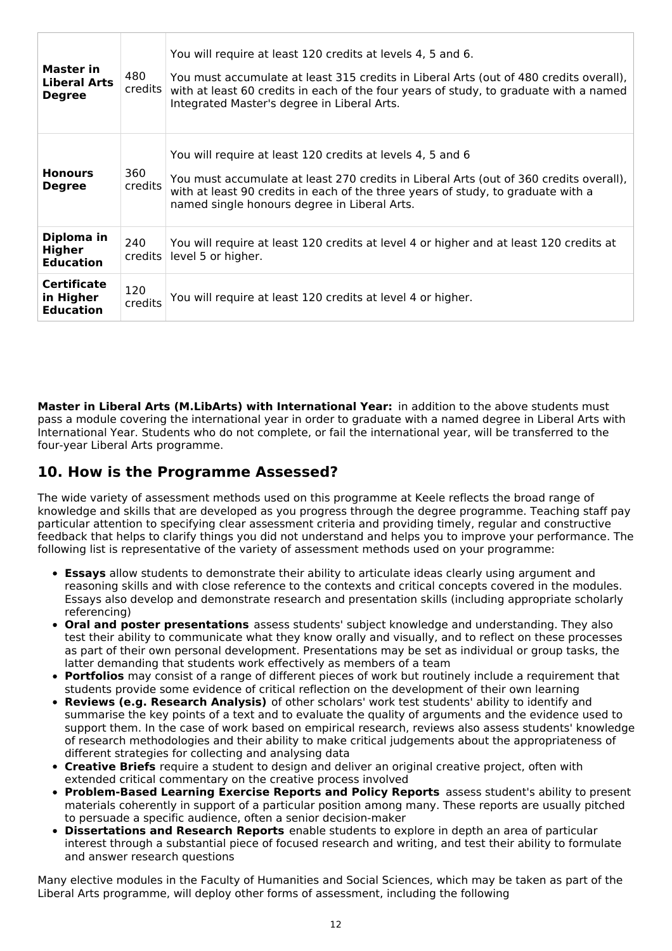| <b>Master in</b><br><b>Liberal Arts</b><br><b>Degree</b> | 480<br>credits | You will require at least 120 credits at levels 4, 5 and 6.<br>You must accumulate at least 315 credits in Liberal Arts (out of 480 credits overall),<br>with at least 60 credits in each of the four years of study, to graduate with a named<br>Integrated Master's degree in Liberal Arts. |
|----------------------------------------------------------|----------------|-----------------------------------------------------------------------------------------------------------------------------------------------------------------------------------------------------------------------------------------------------------------------------------------------|
| <b>Honours</b><br><b>Degree</b>                          | 360<br>credits | You will require at least 120 credits at levels 4, 5 and 6<br>You must accumulate at least 270 credits in Liberal Arts (out of 360 credits overall),<br>with at least 90 credits in each of the three years of study, to graduate with a<br>named single honours degree in Liberal Arts.      |
| Diploma in<br>Higher<br><b>Education</b>                 | 240<br>credits | You will require at least 120 credits at level 4 or higher and at least 120 credits at<br>level 5 or higher.                                                                                                                                                                                  |
| <b>Certificate</b><br>in Higher<br><b>Education</b>      | 120<br>credits | You will require at least 120 credits at level 4 or higher.                                                                                                                                                                                                                                   |

**Master in Liberal Arts (M.LibArts) with International Year:** in addition to the above students must pass a module covering the international year in order to graduate with a named degree in Liberal Arts with International Year. Students who do not complete, or fail the international year, will be transferred to the four-year Liberal Arts programme.

## **10. How is the Programme Assessed?**

The wide variety of assessment methods used on this programme at Keele reflects the broad range of knowledge and skills that are developed as you progress through the degree programme. Teaching staff pay particular attention to specifying clear assessment criteria and providing timely, regular and constructive feedback that helps to clarify things you did not understand and helps you to improve your performance. The following list is representative of the variety of assessment methods used on your programme:

- **Essays** allow students to demonstrate their ability to articulate ideas clearly using argument and reasoning skills and with close reference to the contexts and critical concepts covered in the modules. Essays also develop and demonstrate research and presentation skills (including appropriate scholarly referencing)
- **Oral and poster presentations** assess students' subject knowledge and understanding. They also test their ability to communicate what they know orally and visually, and to reflect on these processes as part of their own personal development. Presentations may be set as individual or group tasks, the latter demanding that students work effectively as members of a team
- **Portfolios** may consist of a range of different pieces of work but routinely include a requirement that students provide some evidence of critical reflection on the development of their own learning
- **Reviews (e.g. Research Analysis)** of other scholars' work test students' ability to identify and summarise the key points of a text and to evaluate the quality of arguments and the evidence used to support them. In the case of work based on empirical research, reviews also assess students' knowledge of research methodologies and their ability to make critical judgements about the appropriateness of different strategies for collecting and analysing data
- **Creative Briefs** require a student to design and deliver an original creative project, often with extended critical commentary on the creative process involved
- **Problem-Based Learning Exercise Reports and Policy Reports** assess student's ability to present materials coherently in support of a particular position among many. These reports are usually pitched to persuade a specific audience, often a senior decision-maker
- **Dissertations and Research Reports** enable students to explore in depth an area of particular interest through a substantial piece of focused research and writing, and test their ability to formulate and answer research questions

Many elective modules in the Faculty of Humanities and Social Sciences, which may be taken as part of the Liberal Arts programme, will deploy other forms of assessment, including the following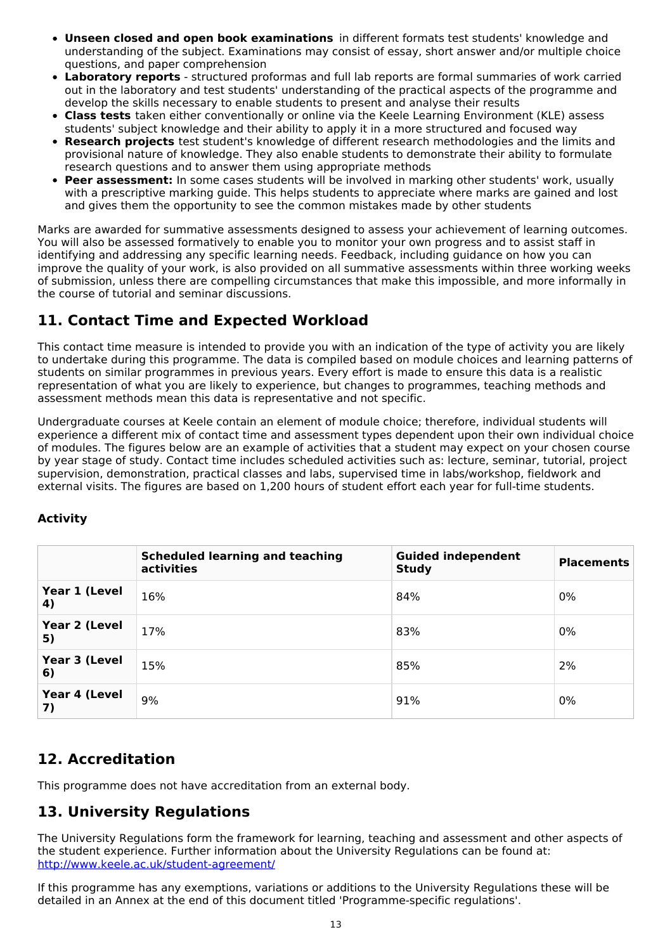- **Unseen closed and open book examinations** in different formats test students' knowledge and understanding of the subject. Examinations may consist of essay, short answer and/or multiple choice questions, and paper comprehension
- **Laboratory reports** structured proformas and full lab reports are formal summaries of work carried  $\bullet$ out in the laboratory and test students' understanding of the practical aspects of the programme and develop the skills necessary to enable students to present and analyse their results
- **Class tests** taken either conventionally or online via the Keele Learning Environment (KLE) assess students' subject knowledge and their ability to apply it in a more structured and focused way
- **Research projects** test student's knowledge of different research methodologies and the limits and provisional nature of knowledge. They also enable students to demonstrate their ability to formulate research questions and to answer them using appropriate methods
- **Peer assessment:** In some cases students will be involved in marking other students' work, usually with a prescriptive marking guide. This helps students to appreciate where marks are gained and lost and gives them the opportunity to see the common mistakes made by other students

Marks are awarded for summative assessments designed to assess your achievement of learning outcomes. You will also be assessed formatively to enable you to monitor your own progress and to assist staff in identifying and addressing any specific learning needs. Feedback, including guidance on how you can improve the quality of your work, is also provided on all summative assessments within three working weeks of submission, unless there are compelling circumstances that make this impossible, and more informally in the course of tutorial and seminar discussions.

# **11. Contact Time and Expected Workload**

This contact time measure is intended to provide you with an indication of the type of activity you are likely to undertake during this programme. The data is compiled based on module choices and learning patterns of students on similar programmes in previous years. Every effort is made to ensure this data is a realistic representation of what you are likely to experience, but changes to programmes, teaching methods and assessment methods mean this data is representative and not specific.

Undergraduate courses at Keele contain an element of module choice; therefore, individual students will experience a different mix of contact time and assessment types dependent upon their own individual choice of modules. The figures below are an example of activities that a student may expect on your chosen course by year stage of study. Contact time includes scheduled activities such as: lecture, seminar, tutorial, project supervision, demonstration, practical classes and labs, supervised time in labs/workshop, fieldwork and external visits. The figures are based on 1,200 hours of student effort each year for full-time students.

|                     | <b>Scheduled learning and teaching</b><br>activities | <b>Guided independent</b><br><b>Study</b> | <b>Placements</b> |
|---------------------|------------------------------------------------------|-------------------------------------------|-------------------|
| Year 1 (Level<br>4) | 16%                                                  | 84%                                       | 0%                |
| Year 2 (Level<br>5) | 17%                                                  | 83%                                       | 0%                |
| Year 3 (Level<br>6) | 15%                                                  | 85%                                       | 2%                |
| Year 4 (Level<br>7) | 9%                                                   | 91%                                       | 0%                |

# **Activity**

# **12. Accreditation**

This programme does not have accreditation from an external body.

# **13. University Regulations**

The University Regulations form the framework for learning, teaching and assessment and other aspects of the student experience. Further information about the University Regulations can be found at: <http://www.keele.ac.uk/student-agreement/>

If this programme has any exemptions, variations or additions to the University Regulations these will be detailed in an Annex at the end of this document titled 'Programme-specific regulations'.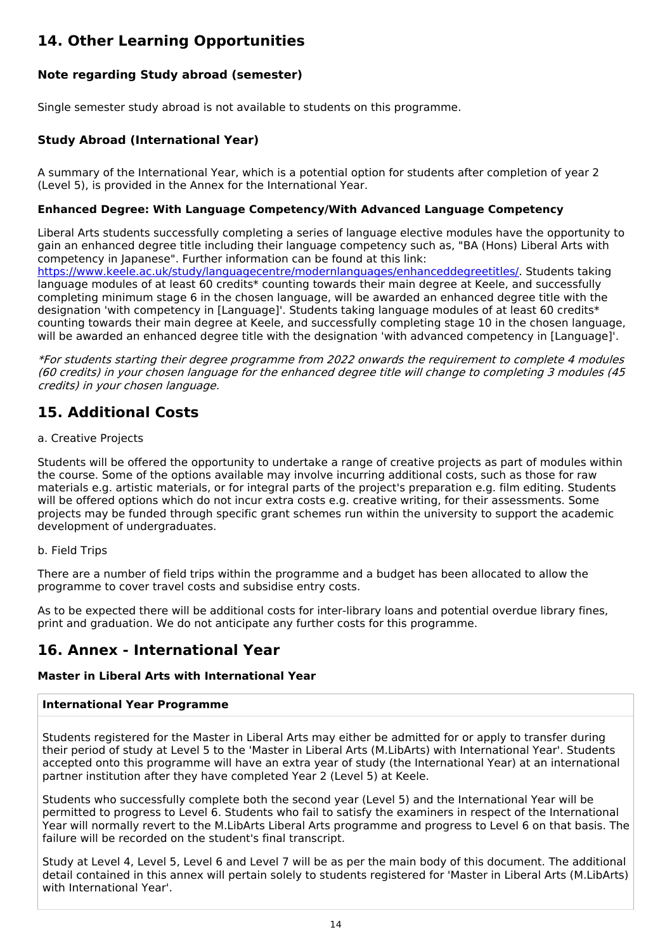# **14. Other Learning Opportunities**

# **Note regarding Study abroad (semester)**

Single semester study abroad is not available to students on this programme.

## **Study Abroad (International Year)**

A summary of the International Year, which is a potential option for students after completion of year 2 (Level 5), is provided in the Annex for the International Year.

### **Enhanced Degree: With Language Competency/With Advanced Language Competency**

Liberal Arts students successfully completing a series of language elective modules have the opportunity to gain an enhanced degree title including their language competency such as, "BA (Hons) Liberal Arts with competency in Japanese". Further information can be found at this link:

<https://www.keele.ac.uk/study/languagecentre/modernlanguages/enhanceddegreetitles/>. Students taking language modules of at least 60 credits\* counting towards their main degree at Keele, and successfully completing minimum stage 6 in the chosen language, will be awarded an enhanced degree title with the designation 'with competency in [Language]'. Students taking language modules of at least 60 credits\* counting towards their main degree at Keele, and successfully completing stage 10 in the chosen language, will be awarded an enhanced degree title with the designation 'with advanced competency in [Language]'.

\*For students starting their degree programme from 2022 onwards the requirement to complete 4 modules (60 credits) in your chosen language for the enhanced degree title will change to completing 3 modules (45 credits) in your chosen language.

# **15. Additional Costs**

### a. Creative Projects

Students will be offered the opportunity to undertake a range of creative projects as part of modules within the course. Some of the options available may involve incurring additional costs, such as those for raw materials e.g. artistic materials, or for integral parts of the project's preparation e.g. film editing. Students will be offered options which do not incur extra costs e.g. creative writing, for their assessments. Some projects may be funded through specific grant schemes run within the university to support the academic development of undergraduates.

### b. Field Trips

There are a number of field trips within the programme and a budget has been allocated to allow the programme to cover travel costs and subsidise entry costs.

As to be expected there will be additional costs for inter-library loans and potential overdue library fines, print and graduation. We do not anticipate any further costs for this programme.

# **16. Annex - International Year**

### **Master in Liberal Arts with International Year**

### **International Year Programme**

Students registered for the Master in Liberal Arts may either be admitted for or apply to transfer during their period of study at Level 5 to the 'Master in Liberal Arts (M.LibArts) with International Year'. Students accepted onto this programme will have an extra year of study (the International Year) at an international partner institution after they have completed Year 2 (Level 5) at Keele.

Students who successfully complete both the second year (Level 5) and the International Year will be permitted to progress to Level 6. Students who fail to satisfy the examiners in respect of the International Year will normally revert to the M.LibArts Liberal Arts programme and progress to Level 6 on that basis. The failure will be recorded on the student's final transcript.

Study at Level 4, Level 5, Level 6 and Level 7 will be as per the main body of this document. The additional detail contained in this annex will pertain solely to students registered for 'Master in Liberal Arts (M.LibArts) with International Year'.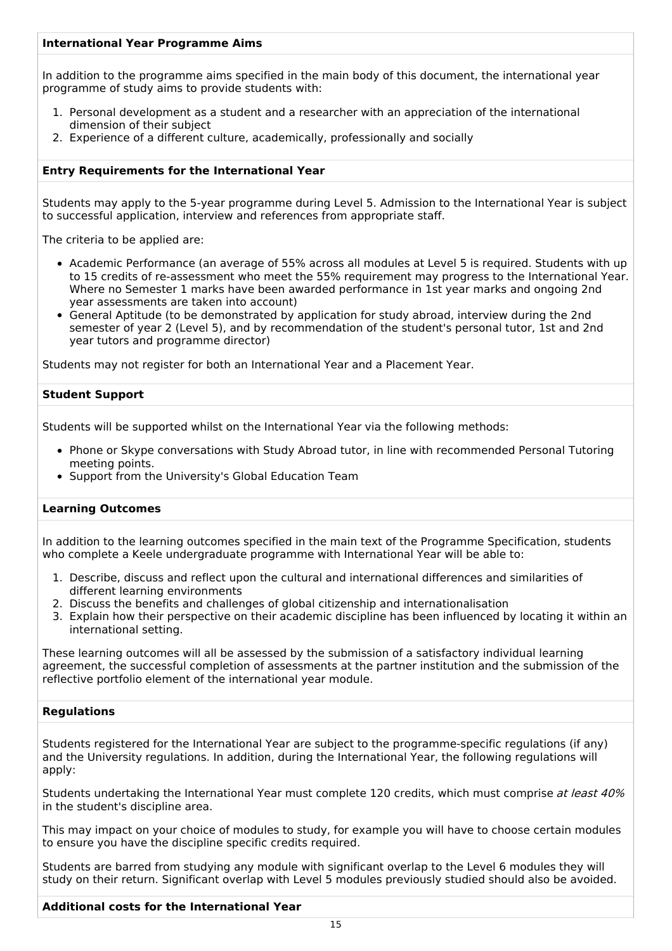### **International Year Programme Aims**

In addition to the programme aims specified in the main body of this document, the international year programme of study aims to provide students with:

- 1. Personal development as a student and a researcher with an appreciation of the international dimension of their subject
- 2. Experience of a different culture, academically, professionally and socially

### **Entry Requirements for the International Year**

Students may apply to the 5-year programme during Level 5. Admission to the International Year is subject to successful application, interview and references from appropriate staff.

The criteria to be applied are:

- Academic Performance (an average of 55% across all modules at Level 5 is required. Students with up to 15 credits of re-assessment who meet the 55% requirement may progress to the International Year. Where no Semester 1 marks have been awarded performance in 1st year marks and ongoing 2nd year assessments are taken into account)
- General Aptitude (to be demonstrated by application for study abroad, interview during the 2nd semester of year 2 (Level 5), and by recommendation of the student's personal tutor, 1st and 2nd year tutors and programme director)

Students may not register for both an International Year and a Placement Year.

#### **Student Support**

Students will be supported whilst on the International Year via the following methods:

- Phone or Skype conversations with Study Abroad tutor, in line with recommended Personal Tutoring meeting points.
- Support from the University's Global Education Team

### **Learning Outcomes**

In addition to the learning outcomes specified in the main text of the Programme Specification, students who complete a Keele undergraduate programme with International Year will be able to:

- 1. Describe, discuss and reflect upon the cultural and international differences and similarities of different learning environments
- 2. Discuss the benefits and challenges of global citizenship and internationalisation
- 3. Explain how their perspective on their academic discipline has been influenced by locating it within an international setting.

These learning outcomes will all be assessed by the submission of a satisfactory individual learning agreement, the successful completion of assessments at the partner institution and the submission of the reflective portfolio element of the international year module.

#### **Regulations**

Students registered for the International Year are subject to the programme-specific regulations (if any) and the University regulations. In addition, during the International Year, the following regulations will apply:

Students undertaking the International Year must complete 120 credits, which must comprise at least 40% in the student's discipline area.

This may impact on your choice of modules to study, for example you will have to choose certain modules to ensure you have the discipline specific credits required.

Students are barred from studying any module with significant overlap to the Level 6 modules they will study on their return. Significant overlap with Level 5 modules previously studied should also be avoided.

### **Additional costs for the International Year**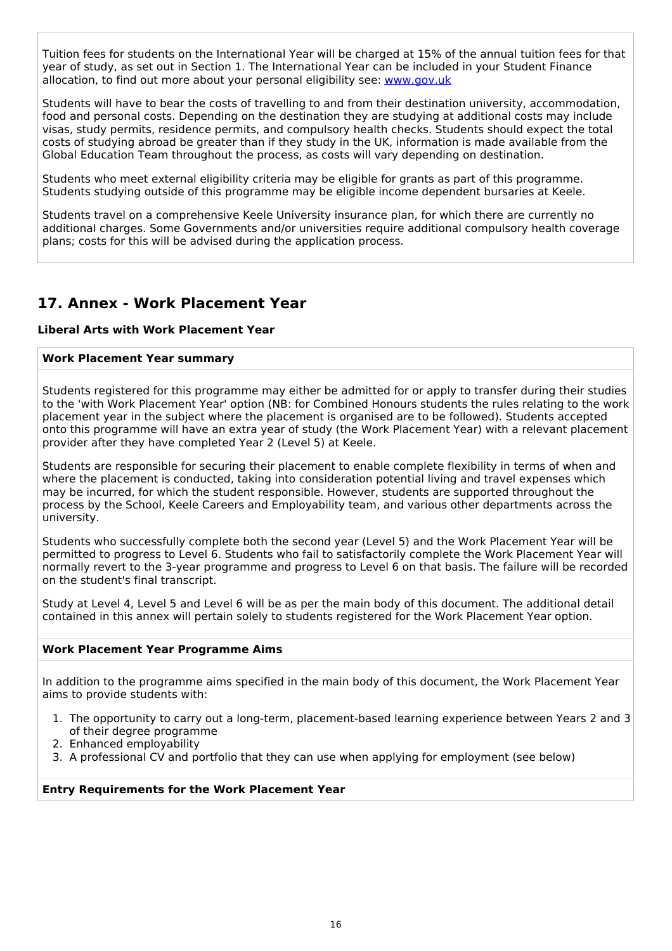Tuition fees for students on the International Year will be charged at 15% of the annual tuition fees for that year of study, as set out in Section 1. The International Year can be included in your Student Finance allocation, to find out more about your personal eligibility see: [www.gov.uk](http://www.gov.uk/)

Students will have to bear the costs of travelling to and from their destination university, accommodation, food and personal costs. Depending on the destination they are studying at additional costs may include visas, study permits, residence permits, and compulsory health checks. Students should expect the total costs of studying abroad be greater than if they study in the UK, information is made available from the Global Education Team throughout the process, as costs will vary depending on destination.

Students who meet external eligibility criteria may be eligible for grants as part of this programme. Students studying outside of this programme may be eligible income dependent bursaries at Keele.

Students travel on a comprehensive Keele University insurance plan, for which there are currently no additional charges. Some Governments and/or universities require additional compulsory health coverage plans; costs for this will be advised during the application process.

# **17. Annex - Work Placement Year**

### **Liberal Arts with Work Placement Year**

### **Work Placement Year summary**

Students registered for this programme may either be admitted for or apply to transfer during their studies to the 'with Work Placement Year' option (NB: for Combined Honours students the rules relating to the work placement year in the subject where the placement is organised are to be followed). Students accepted onto this programme will have an extra year of study (the Work Placement Year) with a relevant placement provider after they have completed Year 2 (Level 5) at Keele.

Students are responsible for securing their placement to enable complete flexibility in terms of when and where the placement is conducted, taking into consideration potential living and travel expenses which may be incurred, for which the student responsible. However, students are supported throughout the process by the School, Keele Careers and Employability team, and various other departments across the university.

Students who successfully complete both the second year (Level 5) and the Work Placement Year will be permitted to progress to Level 6. Students who fail to satisfactorily complete the Work Placement Year will normally revert to the 3-year programme and progress to Level 6 on that basis. The failure will be recorded on the student's final transcript.

Study at Level 4, Level 5 and Level 6 will be as per the main body of this document. The additional detail contained in this annex will pertain solely to students registered for the Work Placement Year option.

### **Work Placement Year Programme Aims**

In addition to the programme aims specified in the main body of this document, the Work Placement Year aims to provide students with:

- 1. The opportunity to carry out a long-term, placement-based learning experience between Years 2 and 3 of their degree programme
- 2. Enhanced employability
- 3. A professional CV and portfolio that they can use when applying for employment (see below)

#### **Entry Requirements for the Work Placement Year**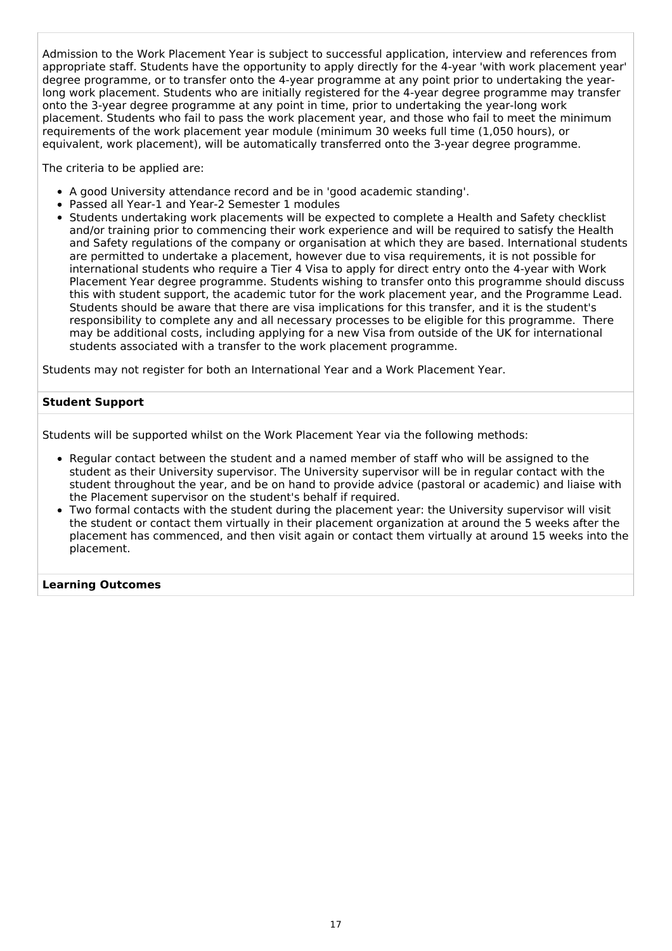Admission to the Work Placement Year is subject to successful application, interview and references from appropriate staff. Students have the opportunity to apply directly for the 4-year 'with work placement year' degree programme, or to transfer onto the 4-year programme at any point prior to undertaking the yearlong work placement. Students who are initially registered for the 4-year degree programme may transfer onto the 3-year degree programme at any point in time, prior to undertaking the year-long work placement. Students who fail to pass the work placement year, and those who fail to meet the minimum requirements of the work placement year module (minimum 30 weeks full time (1,050 hours), or equivalent, work placement), will be automatically transferred onto the 3-year degree programme.

The criteria to be applied are:

- A good University attendance record and be in 'good academic standing'.
- Passed all Year-1 and Year-2 Semester 1 modules
- Students undertaking work placements will be expected to complete a Health and Safety checklist and/or training prior to commencing their work experience and will be required to satisfy the Health and Safety regulations of the company or organisation at which they are based. International students are permitted to undertake a placement, however due to visa requirements, it is not possible for international students who require a Tier 4 Visa to apply for direct entry onto the 4-year with Work Placement Year degree programme. Students wishing to transfer onto this programme should discuss this with student support, the academic tutor for the work placement year, and the Programme Lead. Students should be aware that there are visa implications for this transfer, and it is the student's responsibility to complete any and all necessary processes to be eligible for this programme. There may be additional costs, including applying for a new Visa from outside of the UK for international students associated with a transfer to the work placement programme.

Students may not register for both an International Year and a Work Placement Year.

#### **Student Support**

Students will be supported whilst on the Work Placement Year via the following methods:

- Regular contact between the student and a named member of staff who will be assigned to the student as their University supervisor. The University supervisor will be in regular contact with the student throughout the year, and be on hand to provide advice (pastoral or academic) and liaise with the Placement supervisor on the student's behalf if required.
- Two formal contacts with the student during the placement year: the University supervisor will visit the student or contact them virtually in their placement organization at around the 5 weeks after the placement has commenced, and then visit again or contact them virtually at around 15 weeks into the placement.

#### **Learning Outcomes**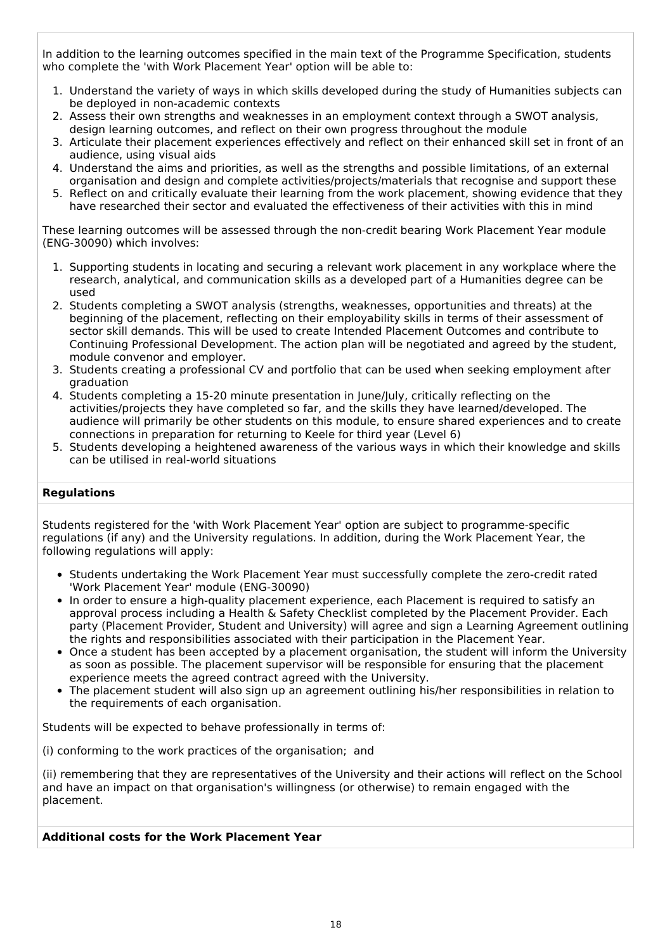In addition to the learning outcomes specified in the main text of the Programme Specification, students who complete the 'with Work Placement Year' option will be able to:

- 1. Understand the variety of ways in which skills developed during the study of Humanities subjects can be deployed in non-academic contexts
- 2. Assess their own strengths and weaknesses in an employment context through a SWOT analysis, design learning outcomes, and reflect on their own progress throughout the module
- 3. Articulate their placement experiences effectively and reflect on their enhanced skill set in front of an audience, using visual aids
- 4. Understand the aims and priorities, as well as the strengths and possible limitations, of an external organisation and design and complete activities/projects/materials that recognise and support these
- 5. Reflect on and critically evaluate their learning from the work placement, showing evidence that they have researched their sector and evaluated the effectiveness of their activities with this in mind

These learning outcomes will be assessed through the non-credit bearing Work Placement Year module (ENG-30090) which involves:

- 1. Supporting students in locating and securing a relevant work placement in any workplace where the research, analytical, and communication skills as a developed part of a Humanities degree can be used
- 2. Students completing a SWOT analysis (strengths, weaknesses, opportunities and threats) at the beginning of the placement, reflecting on their employability skills in terms of their assessment of sector skill demands. This will be used to create Intended Placement Outcomes and contribute to Continuing Professional Development. The action plan will be negotiated and agreed by the student, module convenor and employer.
- 3. Students creating a professional CV and portfolio that can be used when seeking employment after graduation
- 4. Students completing a 15-20 minute presentation in June/July, critically reflecting on the activities/projects they have completed so far, and the skills they have learned/developed. The audience will primarily be other students on this module, to ensure shared experiences and to create connections in preparation for returning to Keele for third year (Level 6)
- 5. Students developing a heightened awareness of the various ways in which their knowledge and skills can be utilised in real-world situations

### **Regulations**

Students registered for the 'with Work Placement Year' option are subject to programme-specific regulations (if any) and the University regulations. In addition, during the Work Placement Year, the following regulations will apply:

- Students undertaking the Work Placement Year must successfully complete the zero-credit rated 'Work Placement Year' module (ENG-30090)
- In order to ensure a high-quality placement experience, each Placement is required to satisfy an approval process including a Health & Safety Checklist completed by the Placement Provider. Each party (Placement Provider, Student and University) will agree and sign a Learning Agreement outlining the rights and responsibilities associated with their participation in the Placement Year.
- Once a student has been accepted by a placement organisation, the student will inform the University as soon as possible. The placement supervisor will be responsible for ensuring that the placement experience meets the agreed contract agreed with the University.
- The placement student will also sign up an agreement outlining his/her responsibilities in relation to the requirements of each organisation.

Students will be expected to behave professionally in terms of:

(i) conforming to the work practices of the organisation; and

(ii) remembering that they are representatives of the University and their actions will reflect on the School and have an impact on that organisation's willingness (or otherwise) to remain engaged with the placement.

### **Additional costs for the Work Placement Year**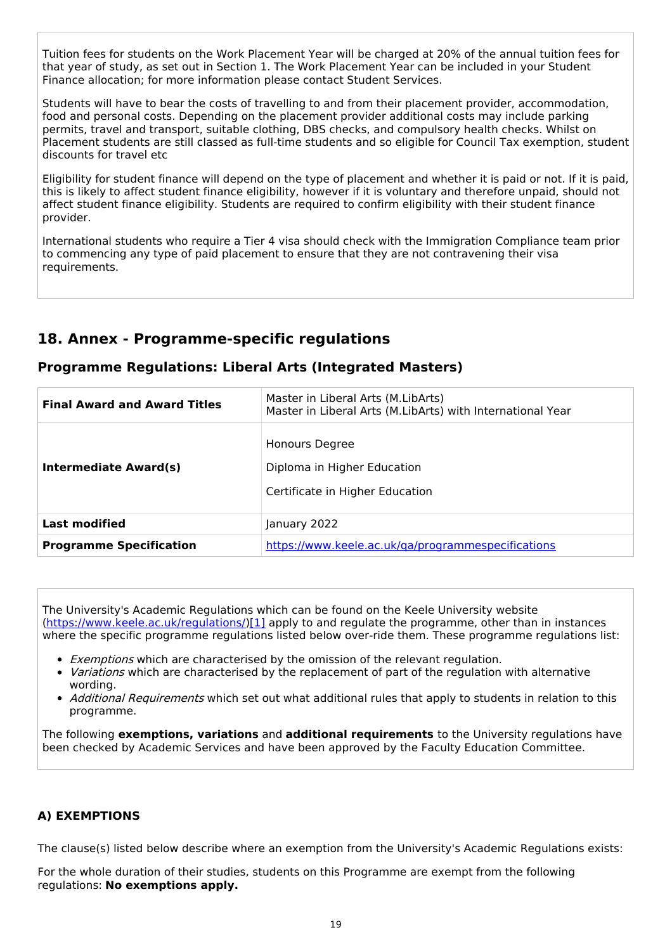Tuition fees for students on the Work Placement Year will be charged at 20% of the annual tuition fees for that year of study, as set out in Section 1. The Work Placement Year can be included in your Student Finance allocation; for more information please contact Student Services.

Students will have to bear the costs of travelling to and from their placement provider, accommodation, food and personal costs. Depending on the placement provider additional costs may include parking permits, travel and transport, suitable clothing, DBS checks, and compulsory health checks. Whilst on Placement students are still classed as full-time students and so eligible for Council Tax exemption, student discounts for travel etc

Eligibility for student finance will depend on the type of placement and whether it is paid or not. If it is paid, this is likely to affect student finance eligibility, however if it is voluntary and therefore unpaid, should not affect student finance eligibility. Students are required to confirm eligibility with their student finance provider.

International students who require a Tier 4 visa should check with the Immigration Compliance team prior to commencing any type of paid placement to ensure that they are not contravening their visa requirements.

# **18. Annex - Programme-specific regulations**

| <b>Final Award and Award Titles</b> | Master in Liberal Arts (M.LibArts)<br>Master in Liberal Arts (M.LibArts) with International Year |  |
|-------------------------------------|--------------------------------------------------------------------------------------------------|--|
| Intermediate Award(s)               | Honours Degree<br>Diploma in Higher Education<br>Certificate in Higher Education                 |  |
| <b>Last modified</b>                | January 2022                                                                                     |  |
| <b>Programme Specification</b>      | https://www.keele.ac.uk/ga/programmespecifications                                               |  |

### **Programme Regulations: Liberal Arts (Integrated Masters)**

The University's Academic Regulations which can be found on the Keele University website [\(https://www.keele.ac.uk/regulations/](https://www.keele.ac.uk/regulations/)[\)\[1\]](https://scims-api.keele.ac.uk/#_ftn1) apply to and regulate the programme, other than in instances where the specific programme regulations listed below over-ride them. These programme regulations list:

- **Exemptions which are characterised by the omission of the relevant regulation.**
- Variations which are characterised by the replacement of part of the regulation with alternative wording.
- Additional Requirements which set out what additional rules that apply to students in relation to this programme.

The following **exemptions, variations** and **additional requirements** to the University regulations have been checked by Academic Services and have been approved by the Faculty Education Committee.

### **A) EXEMPTIONS**

The clause(s) listed below describe where an exemption from the University's Academic Regulations exists:

For the whole duration of their studies, students on this Programme are exempt from the following regulations: **No exemptions apply.**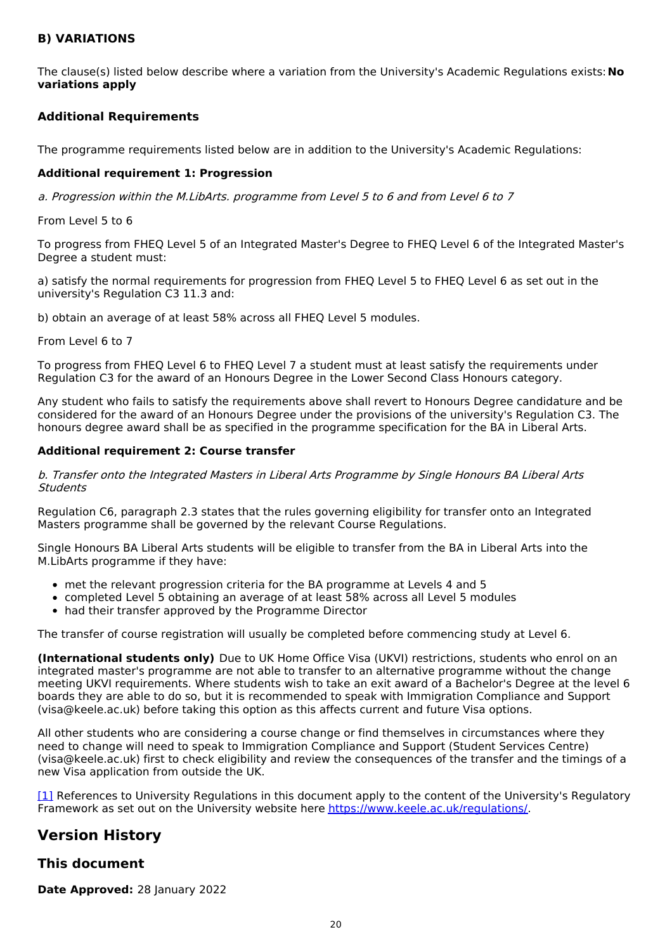### **B) VARIATIONS**

The clause(s) listed below describe where a variation from the University's Academic Regulations exists:**No variations apply**

### **Additional Requirements**

The programme requirements listed below are in addition to the University's Academic Regulations:

### **Additional requirement 1: Progression**

a. Progression within the M.LibArts. programme from Level 5 to 6 and from Level 6 to 7

#### From Level 5 to 6

To progress from FHEQ Level 5 of an Integrated Master's Degree to FHEQ Level 6 of the Integrated Master's Degree a student must:

a) satisfy the normal requirements for progression from FHEQ Level 5 to FHEQ Level 6 as set out in the university's Regulation C3 11.3 and:

b) obtain an average of at least 58% across all FHEQ Level 5 modules.

From Level 6 to 7

To progress from FHEQ Level 6 to FHEQ Level 7 a student must at least satisfy the requirements under Regulation C3 for the award of an Honours Degree in the Lower Second Class Honours category.

Any student who fails to satisfy the requirements above shall revert to Honours Degree candidature and be considered for the award of an Honours Degree under the provisions of the university's Regulation C3. The honours degree award shall be as specified in the programme specification for the BA in Liberal Arts.

### **Additional requirement 2: Course transfer**

b. Transfer onto the Integrated Masters in Liberal Arts Programme by Single Honours BA Liberal Arts **Students** 

Regulation C6, paragraph 2.3 states that the rules governing eligibility for transfer onto an Integrated Masters programme shall be governed by the relevant Course Regulations.

Single Honours BA Liberal Arts students will be eligible to transfer from the BA in Liberal Arts into the M.LibArts programme if they have:

- met the relevant progression criteria for the BA programme at Levels 4 and 5
- completed Level 5 obtaining an average of at least 58% across all Level 5 modules
- had their transfer approved by the Programme Director

The transfer of course registration will usually be completed before commencing study at Level 6.

**(International students only)** Due to UK Home Office Visa (UKVI) restrictions, students who enrol on an integrated master's programme are not able to transfer to an alternative programme without the change meeting UKVI requirements. Where students wish to take an exit award of a Bachelor's Degree at the level 6 boards they are able to do so, but it is recommended to speak with Immigration Compliance and Support (visa@keele.ac.uk) before taking this option as this affects current and future Visa options.

All other students who are considering a course change or find themselves in circumstances where they need to change will need to speak to Immigration Compliance and Support (Student Services Centre) (visa@keele.ac.uk) first to check eligibility and review the consequences of the transfer and the timings of a new Visa application from outside the UK.

[\[1\]](https://scims-api.keele.ac.uk/#_ftnref1) References to University Regulations in this document apply to the content of the University's Regulatory Framework as set out on the University website here <https://www.keele.ac.uk/regulations/>.

# **Version History**

### **This document**

**Date Approved:** 28 January 2022